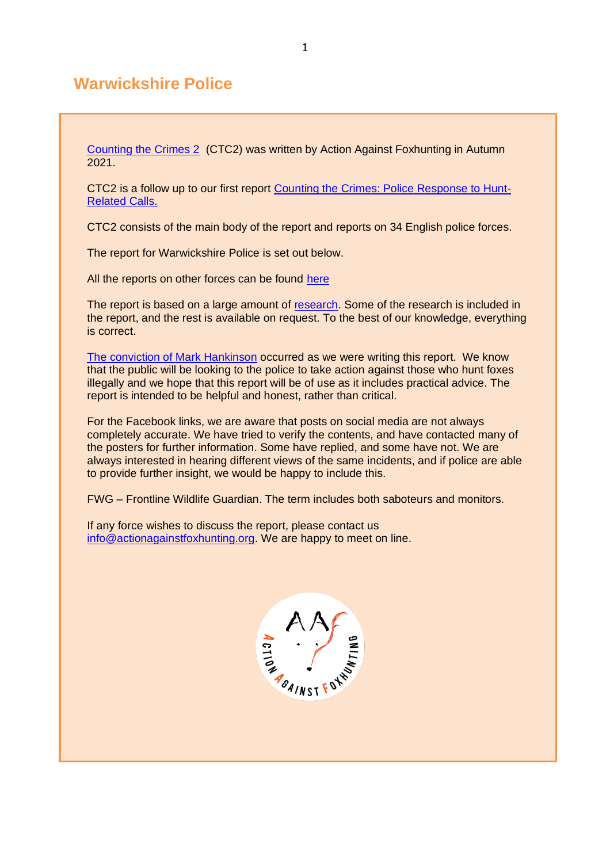# **Warwickshire Police**

[Counting the Crimes 2](https://www.actionagainstfoxhunting.org/counting-the-crimes2-the-police-response/) (CTC2) was written by Action Against Foxhunting in Autumn  $2021.$ 

CTC2 is a follow up to our first report [Counting the Crimes: Police Response to Hunt-](https://www.actionagainstfoxhunting.org/counting-the-crimes/)[Related Calls.](https://www.actionagainstfoxhunting.org/counting-the-crimes/)

CTC2 consists of the main body of the report and reports on 34 English police forces.

The report for Warwickshire Police is set out below.

All the reports on other forces can be found [here](https://www.actionagainstfoxhunting.org/counting-the-crimes2-the-police-response/)

The report is based on a large amount of [research.](https://www.actionagainstfoxhunting.org/wp-content/uploads/2021/11/A-1411-Research-for-CTC2.pdf) Some of the research is included in the report, and the rest is available on request. To the best of our knowledge, everything is correct.

[The conviction of Mark Hankinson](https://www.league.org.uk/news-and-resources/news/hunting-office-webinars-the-road-to-conviction/) occurred as we were writing this report. We know that the public will be looking to the police to take action against those who hunt foxes illegally and we hope that this report will be of use as it includes practical advice. The report is intended to be helpful and honest, rather than critical.

For the Facebook links, we are aware that posts on social media are not always completely accurate. We have tried to verify the contents, and have contacted many of the posters for further information. Some have replied, and some have not. We are always interested in hearing different views of the same incidents, and if police are able to provide further insight, we would be happy to include this.

FWG – Frontline Wildlife Guardian. The term includes both saboteurs and monitors.

If any force wishes to discuss the report, please contact us [info@actionagainstfoxhunting.org.](mailto:info@actionagainstfoxhunting.org) We are happy to meet on line.

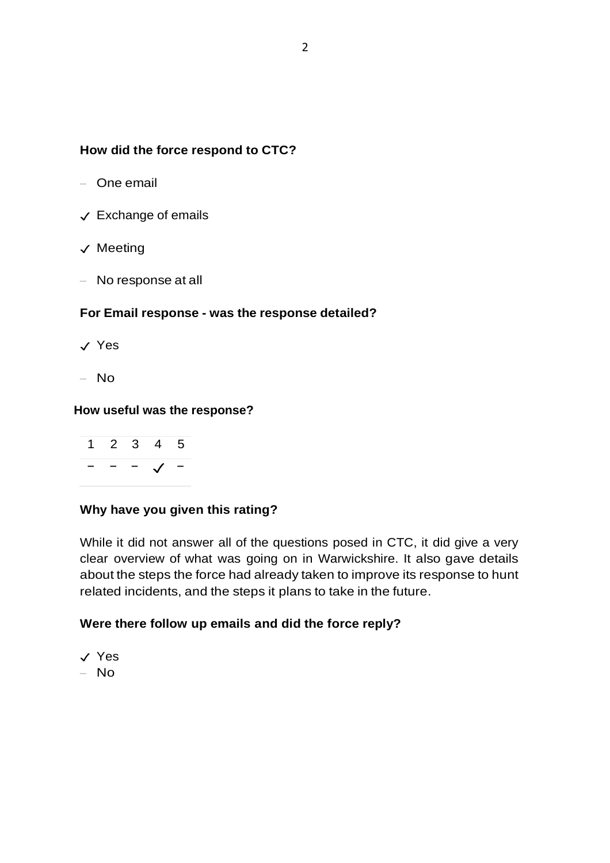### **How did the force respond to CTC?**

- One email
- ✓ Exchange of emails
- ✓ Meeting
- No response at all

#### **For Email response - was the response detailed?**

- ✓ Yes
- $-$  No

#### **How useful was the response?**



### **Why have you given this rating?**

While it did not answer all of the questions posed in CTC, it did give a very clear overview of what was going on in Warwickshire. It also gave details about the steps the force had already taken to improve its response to hunt related incidents, and the steps it plans to take in the future.

#### **Were there follow up emails and did the force reply?**

- ✓ Yes
- No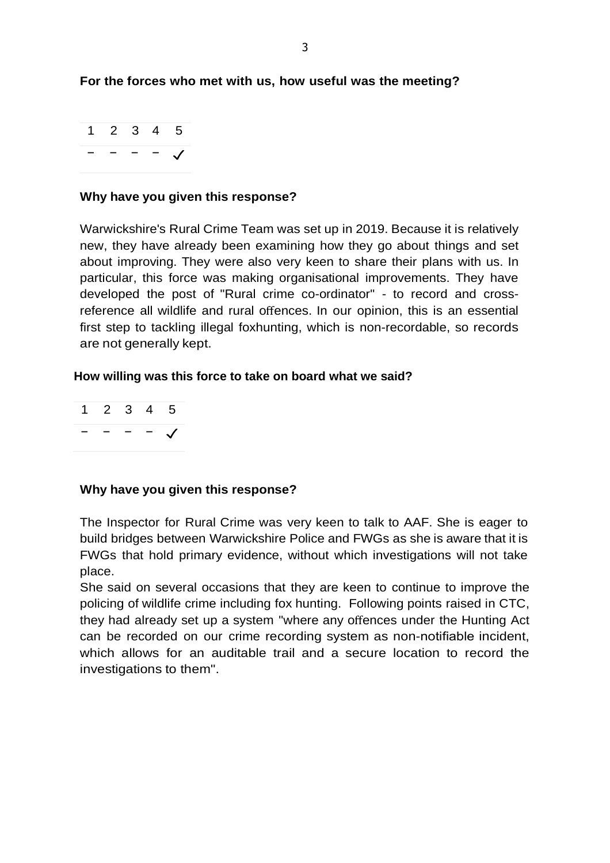### **For the forces who met with us, how useful was the meeting?**

|  | 2 3 | 4. | 5 |
|--|-----|----|---|
|  |     |    |   |

#### **Why have you given this response?**

Warwickshire's Rural Crime Team was set up in 2019. Because it is relatively new, they have already been examining how they go about things and set about improving. They were also very keen to share their plans with us. In particular, this force was making organisational improvements. They have developed the post of "Rural crime co-ordinator" - to record and crossreference all wildlife and rural offences. In our opinion, this is an essential first step to tackling illegal foxhunting, which is non-recordable, so records are not generally kept.

#### **How willing was this force to take on board what we said?**

1 2 3 4 5 − − − − ✓

#### **Why have you given this response?**

The Inspector for Rural Crime was very keen to talk to AAF. She is eager to build bridges between Warwickshire Police and FWGs as she is aware that it is FWGs that hold primary evidence, without which investigations will not take place.

She said on several occasions that they are keen to continue to improve the policing of wildlife crime including fox hunting. Following points raised in CTC, they had already set up a system "where any offences under the Hunting Act can be recorded on our crime recording system as non-notifiable incident, which allows for an auditable trail and a secure location to record the investigations to them".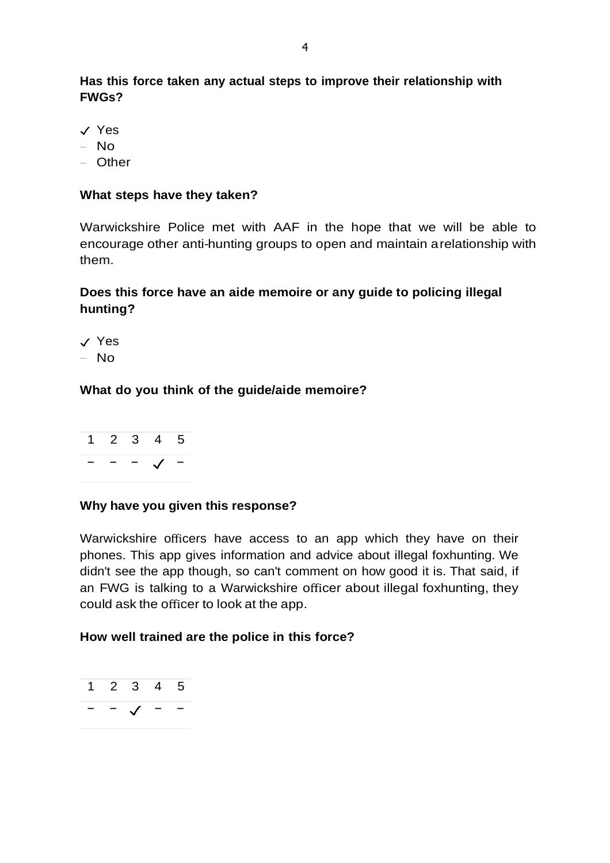**Has this force taken any actual steps to improve their relationship with FWGs?**

- ✓ Yes
- No
- Other

#### **What steps have they taken?**

Warwickshire Police met with AAF in the hope that we will be able to encourage other anti-hunting groups to open and maintain arelationship with them.

## **Does this force have an aide memoire or any guide to policing illegal hunting?**

✓ Yes – No

### **What do you think of the guide/aide memoire?**

|                          | 1 2 3 4 5    |  |
|--------------------------|--------------|--|
| $\overline{\phantom{0}}$ | $ \sqrt{}$ - |  |

### **Why have you given this response?**

Warwickshire officers have access to an app which they have on their phones. This app gives information and advice about illegal foxhunting. We didn't see the app though, so can't comment on how good it is. That said, if an FWG is talking to a Warwickshire officer about illegal foxhunting, they could ask the officer to look at the app.

### **How well trained are the police in this force?**

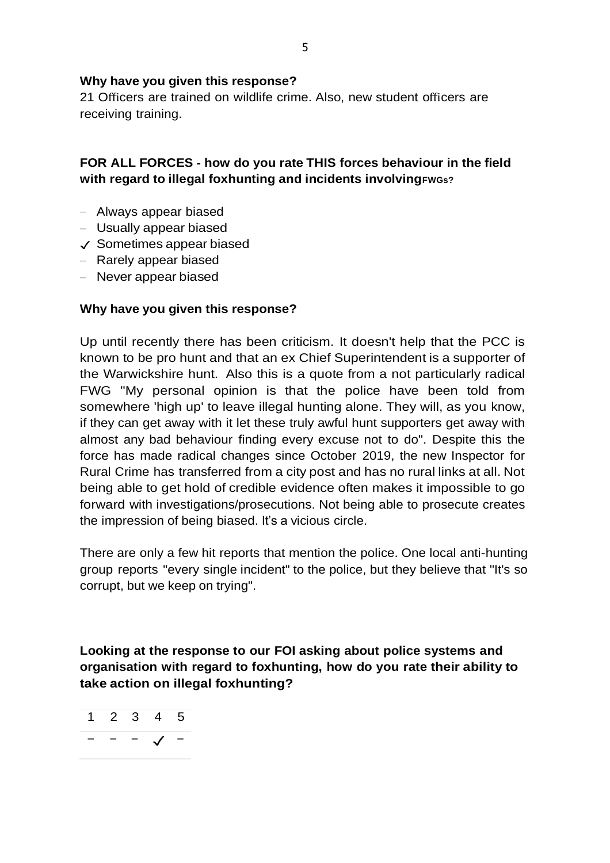#### **Why have you given this response?**

21 Officers are trained on wildlife crime. Also, new student officers are receiving training.

### **FOR ALL FORCES - how do you rate THIS forces behaviour in the field with regard to illegal foxhunting and incidents involvingFWGs?**

- Always appear biased
- Usually appear biased
- ✓ Sometimes appear biased
- Rarely appear biased
- Never appear biased

#### **Why have you given this response?**

Up until recently there has been criticism. It doesn't help that the PCC is known to be pro hunt and that an ex Chief Superintendent is a supporter of the Warwickshire hunt. Also this is a quote from a not particularly radical FWG "My personal opinion is that the police have been told from somewhere 'high up' to leave illegal hunting alone. They will, as you know, if they can get away with it let these truly awful hunt supporters get away with almost any bad behaviour finding every excuse not to do". Despite this the force has made radical changes since October 2019, the new Inspector for Rural Crime has transferred from a city post and has no rural links at all. Not being able to get hold of credible evidence often makes it impossible to go forward with investigations/prosecutions. Not being able to prosecute creates the impression of being biased. It's a vicious circle.

There are only a few hit reports that mention the police. One local anti-hunting group reports "every single incident" to the police, but they believe that "It's so corrupt, but we keep on trying".

**Looking at the response to our FOI asking about police systems and organisation with regard to foxhunting, how do you rate their ability to take action on illegal foxhunting?**

$$
\begin{array}{ccccccccc}\n1 & 2 & 3 & 4 & 5 \\
& - & - & - & \checkmark\n\end{array}
$$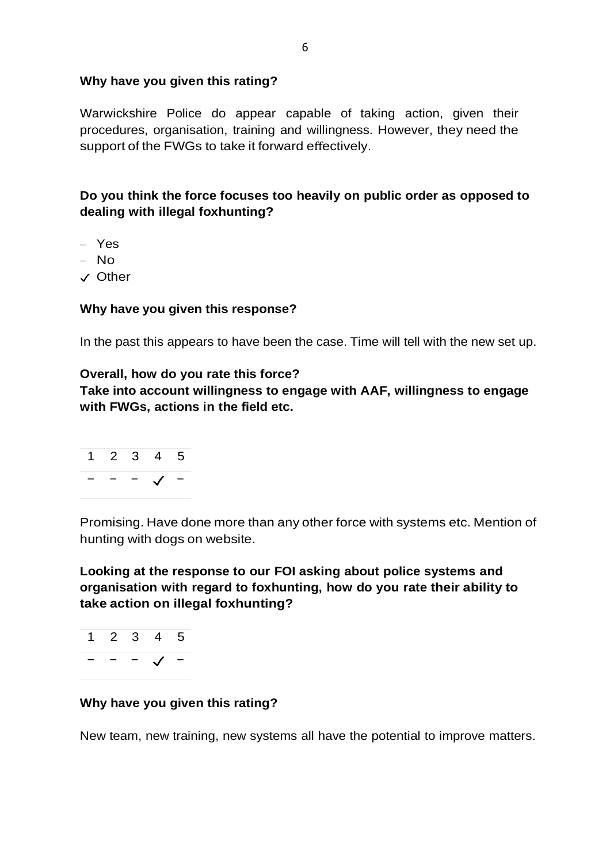#### **Why have you given this rating?**

Warwickshire Police do appear capable of taking action, given their procedures, organisation, training and willingness. However, they need the support of the FWGs to take it forward effectively.

**Do you think the force focuses too heavily on public order as opposed to dealing with illegal foxhunting?**

– Yes

– No

✓ Other

#### **Why have you given this response?**

In the past this appears to have been the case. Time will tell with the new set up.

#### **Overall, how do you rate this force?**

**Take into account willingness to engage with AAF, willingness to engage with FWGs, actions in the field etc.**



Promising. Have done more than any other force with systems etc. Mention of hunting with dogs on website.

**Looking at the response to our FOI asking about police systems and organisation with regard to foxhunting, how do you rate their ability to take action on illegal foxhunting?**

1 2 3 4 5 − − − ✓ −

### **Why have you given this rating?**

New team, new training, new systems all have the potential to improve matters.